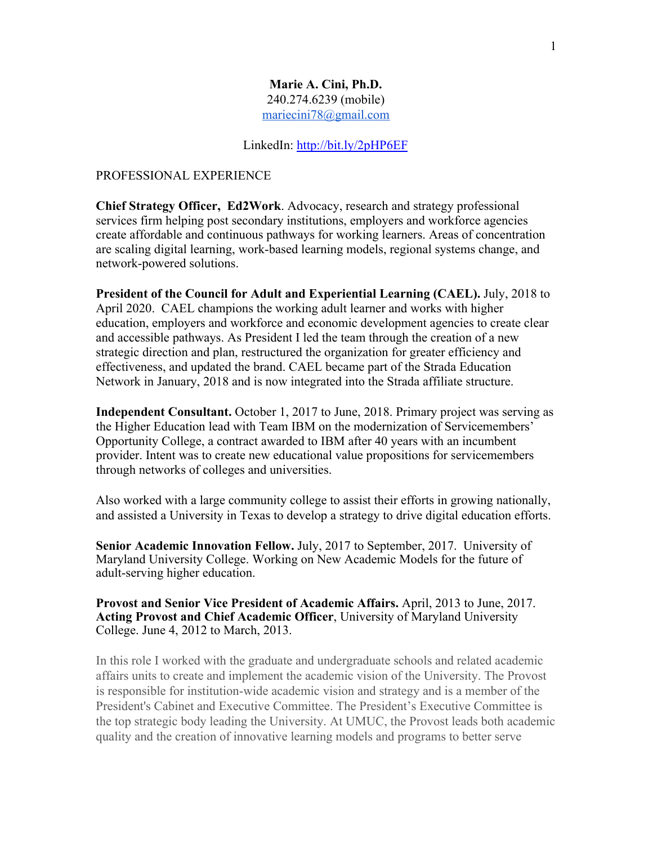## **Marie A. Cini, Ph.D.** 240.274.6239 (mobile) [mariecini78@gmail.com](mailto:mariecini78@gmail.com)

#### LinkedIn:<http://bit.ly/2pHP6EF>

#### PROFESSIONAL EXPERIENCE

**Chief Strategy Officer, Ed2Work**. Advocacy, research and strategy professional services firm helping post secondary institutions, employers and workforce agencies create affordable and continuous pathways for working learners. Areas of concentration are scaling digital learning, work-based learning models, regional systems change, and network-powered solutions.

**President of the Council for Adult and Experiential Learning (CAEL).** July, 2018 to April 2020. CAEL champions the working adult learner and works with higher education, employers and workforce and economic development agencies to create clear and accessible pathways. As President I led the team through the creation of a new strategic direction and plan, restructured the organization for greater efficiency and effectiveness, and updated the brand. CAEL became part of the Strada Education Network in January, 2018 and is now integrated into the Strada affiliate structure.

**Independent Consultant.** October 1, 2017 to June, 2018. Primary project was serving as the Higher Education lead with Team IBM on the modernization of Servicemembers' Opportunity College, a contract awarded to IBM after 40 years with an incumbent provider. Intent was to create new educational value propositions for servicemembers through networks of colleges and universities.

Also worked with a large community college to assist their efforts in growing nationally, and assisted a University in Texas to develop a strategy to drive digital education efforts.

**Senior Academic Innovation Fellow.** July, 2017 to September, 2017. University of Maryland University College. Working on New Academic Models for the future of adult-serving higher education.

**Provost and Senior Vice President of Academic Affairs.** April, 2013 to June, 2017. **Acting Provost and Chief Academic Officer**, University of Maryland University College. June 4, 2012 to March, 2013.

In this role I worked with the graduate and undergraduate schools and related academic affairs units to create and implement the academic vision of the University. The Provost is responsible for institution-wide academic vision and strategy and is a member of the President's Cabinet and Executive Committee. The President's Executive Committee is the top strategic body leading the University. At UMUC, the Provost leads both academic quality and the creation of innovative learning models and programs to better serve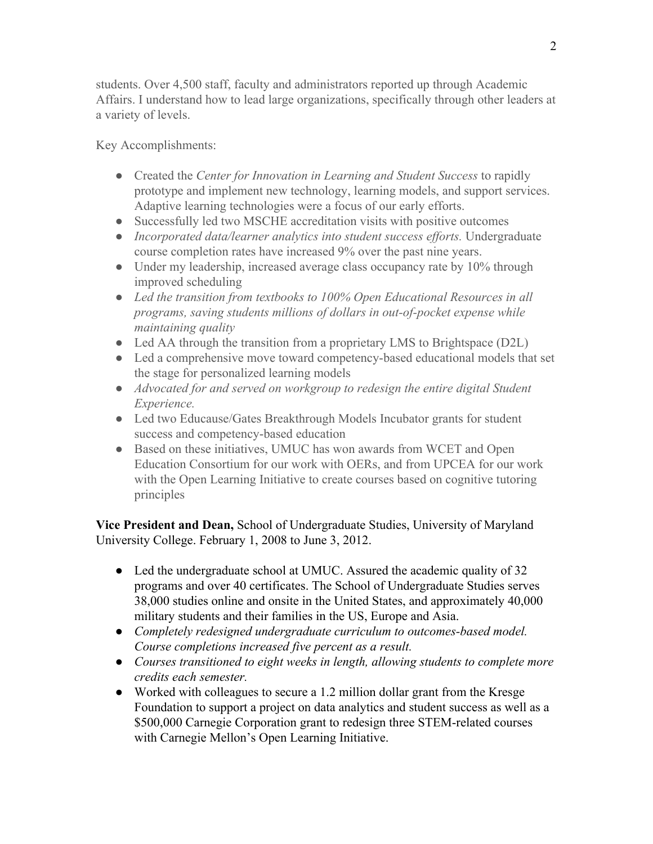students. Over 4,500 staff, faculty and administrators reported up through Academic Affairs. I understand how to lead large organizations, specifically through other leaders at a variety of levels.

Key Accomplishments:

- Created the *Center for Innovation in Learning and Student Success* to rapidly prototype and implement new technology, learning models, and support services. Adaptive learning technologies were a focus of our early efforts.
- Successfully led two MSCHE accreditation visits with positive outcomes
- *Incorporated data/learner analytics into student success efforts.* Undergraduate course completion rates have increased 9% over the past nine years.
- Under my leadership, increased average class occupancy rate by 10% through improved scheduling
- *● Led the transition from textbooks to 100% Open Educational Resources in all programs, saving students millions of dollars in out-of-pocket expense while maintaining quality*
- Led AA through the transition from a proprietary LMS to Brightspace (D2L)
- Led a comprehensive move toward competency-based educational models that set the stage for personalized learning models
- *● Advocated for and served on workgroup to redesign the entire digital Student Experience.*
- Led two Educause/Gates Breakthrough Models Incubator grants for student success and competency-based education
- Based on these initiatives, UMUC has won awards from WCET and Open Education Consortium for our work with OERs, and from UPCEA for our work with the Open Learning Initiative to create courses based on cognitive tutoring principles

**Vice President and Dean,** School of Undergraduate Studies, University of Maryland University College. February 1, 2008 to June 3, 2012.

- Led the undergraduate school at UMUC. Assured the academic quality of 32 programs and over 40 certificates. The School of Undergraduate Studies serves 38,000 studies online and onsite in the United States, and approximately 40,000 military students and their families in the US, Europe and Asia.
- *● Completely redesigned undergraduate curriculum to outcomes-based model. Course completions increased five percent as a result.*
- *● Courses transitioned to eight weeks in length, allowing students to complete more credits each semester.*
- Worked with colleagues to secure a 1.2 million dollar grant from the Kresge Foundation to support a project on data analytics and student success as well as a \$500,000 Carnegie Corporation grant to redesign three STEM-related courses with Carnegie Mellon's Open Learning Initiative.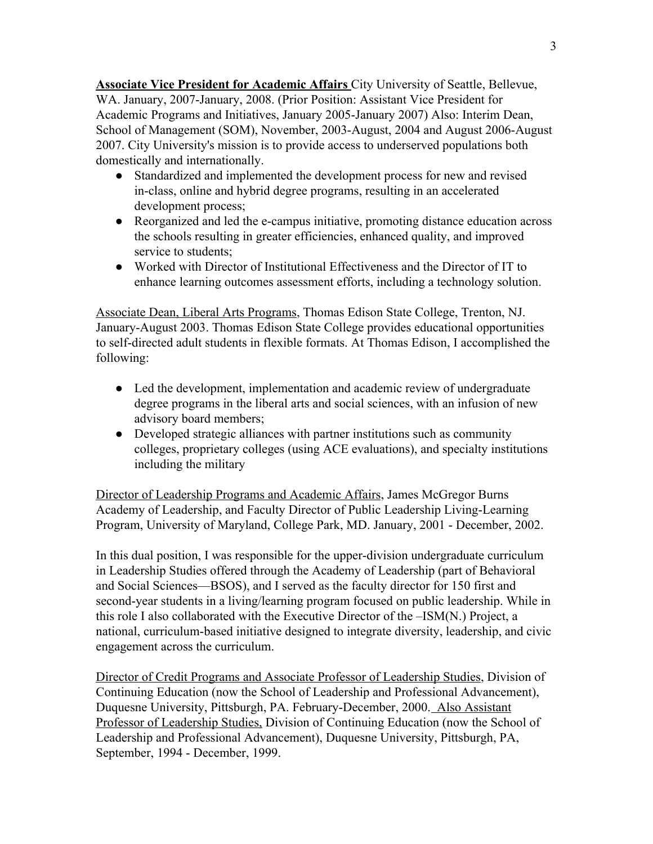**Associate Vice President for Academic Affairs** City University of Seattle, Bellevue, WA. January, 2007-January, 2008. (Prior Position: Assistant Vice President for Academic Programs and Initiatives, January 2005-January 2007) Also: Interim Dean, School of Management (SOM), November, 2003-August, 2004 and August 2006-August 2007. City University's mission is to provide access to underserved populations both domestically and internationally.

- Standardized and implemented the development process for new and revised in-class, online and hybrid degree programs, resulting in an accelerated development process;
- Reorganized and led the e-campus initiative, promoting distance education across the schools resulting in greater efficiencies, enhanced quality, and improved service to students;
- Worked with Director of Institutional Effectiveness and the Director of IT to enhance learning outcomes assessment efforts, including a technology solution.

Associate Dean, Liberal Arts Programs, Thomas Edison State College, Trenton, NJ. January-August 2003. Thomas Edison State College provides educational opportunities to self-directed adult students in flexible formats. At Thomas Edison, I accomplished the following:

- Led the development, implementation and academic review of undergraduate degree programs in the liberal arts and social sciences, with an infusion of new advisory board members;
- Developed strategic alliances with partner institutions such as community colleges, proprietary colleges (using ACE evaluations), and specialty institutions including the military

Director of Leadership Programs and Academic Affairs, James McGregor Burns Academy of Leadership, and Faculty Director of Public Leadership Living-Learning Program, University of Maryland, College Park, MD. January, 2001 - December, 2002.

In this dual position, I was responsible for the upper-division undergraduate curriculum in Leadership Studies offered through the Academy of Leadership (part of Behavioral and Social Sciences—BSOS), and I served as the faculty director for 150 first and second-year students in a living/learning program focused on public leadership. While in this role I also collaborated with the Executive Director of the –ISM(N.) Project, a national, curriculum-based initiative designed to integrate diversity, leadership, and civic engagement across the curriculum.

Director of Credit Programs and Associate Professor of Leadership Studies, Division of Continuing Education (now the School of Leadership and Professional Advancement), Duquesne University, Pittsburgh, PA. February-December, 2000. Also Assistant Professor of Leadership Studies, Division of Continuing Education (now the School of Leadership and Professional Advancement), Duquesne University, Pittsburgh, PA, September, 1994 - December, 1999.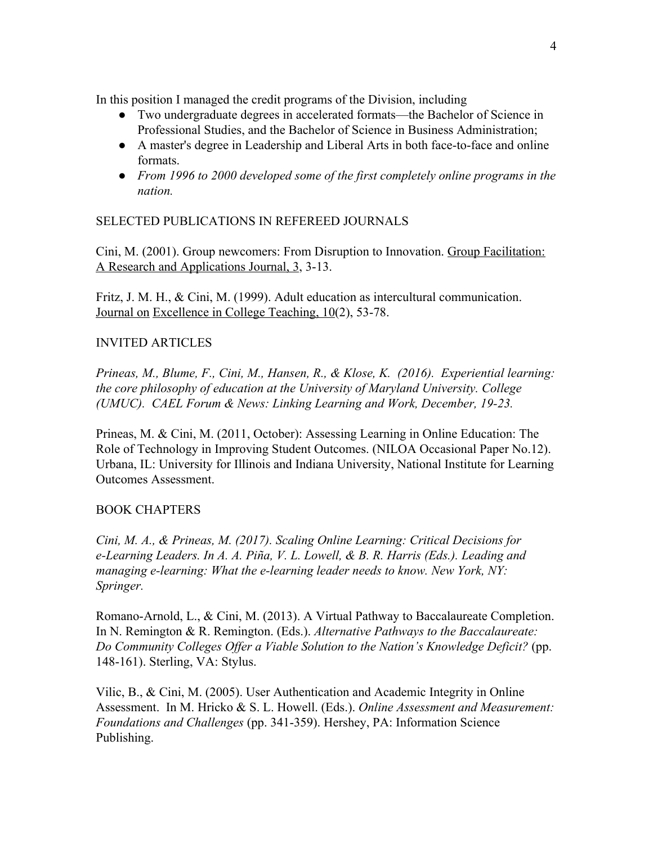In this position I managed the credit programs of the Division, including

- Two undergraduate degrees in accelerated formats—the Bachelor of Science in Professional Studies, and the Bachelor of Science in Business Administration;
- A master's degree in Leadership and Liberal Arts in both face-to-face and online formats.
- *● From 1996 to 2000 developed some of the first completely online programs in the nation.*

# SELECTED PUBLICATIONS IN REFEREED JOURNALS

Cini, M. (2001). Group newcomers: From Disruption to Innovation. Group Facilitation: A Research and Applications Journal, 3, 3-13.

Fritz, J. M. H., & Cini, M. (1999). Adult education as intercultural communication. Journal on Excellence in College Teaching, 10(2), 53-78.

## INVITED ARTICLES

*Prineas, M., Blume, F., Cini, M., Hansen, R., & Klose, K. (2016). Experiential learning: the core philosophy of education at the University of Maryland University. College (UMUC). CAEL Forum & News: Linking Learning and Work, December, 19-23.* 

Prineas, M. & Cini, M. (2011, October): Assessing Learning in Online Education: The Role of Technology in Improving Student Outcomes. (NILOA Occasional Paper No.12). Urbana, IL: University for Illinois and Indiana University, National Institute for Learning Outcomes Assessment.

## BOOK CHAPTERS

*Cini, M. A., & Prineas, M. (2017). Scaling Online Learning: Critical Decisions for e-Learning Leaders. In A. A. Piña, V. L. Lowell, & B. R. Harris (Eds.). Leading and managing e-learning: What the e-learning leader needs to know. New York, NY: Springer.*

Romano-Arnold, L., & Cini, M. (2013). A Virtual Pathway to Baccalaureate Completion. In N. Remington & R. Remington. (Eds.). *Alternative Pathways to the Baccalaureate: Do Community Colleges Offer a Viable Solution to the Nation's Knowledge Deficit?* (pp. 148-161). Sterling, VA: Stylus.

Vilic, B., & Cini, M. (2005). User Authentication and Academic Integrity in Online Assessment. In M. Hricko & S. L. Howell. (Eds.). *Online Assessment and Measurement: Foundations and Challenges* (pp. 341-359). Hershey, PA: Information Science Publishing.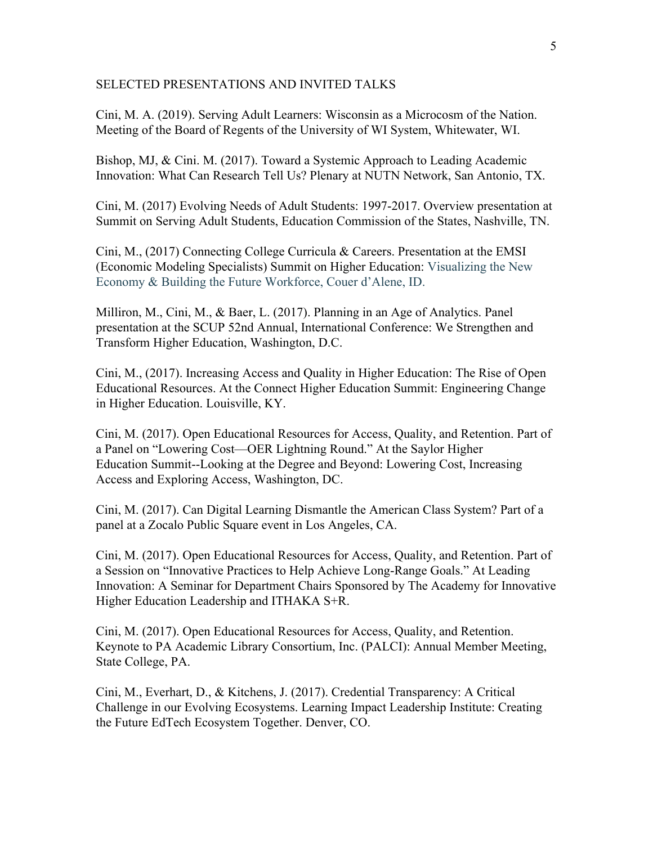#### SELECTED PRESENTATIONS AND INVITED TALKS

Cini, M. A. (2019). Serving Adult Learners: Wisconsin as a Microcosm of the Nation. Meeting of the Board of Regents of the University of WI System, Whitewater, WI.

Bishop, MJ, & Cini. M. (2017). Toward a Systemic Approach to Leading Academic Innovation: What Can Research Tell Us? Plenary at NUTN Network, San Antonio, TX.

Cini, M. (2017) Evolving Needs of Adult Students: 1997-2017. Overview presentation at Summit on Serving Adult Students, Education Commission of the States, Nashville, TN.

Cini, M., (2017) Connecting College Curricula & Careers. Presentation at the EMSI (Economic Modeling Specialists) Summit on Higher Education: Visualizing the New Economy & Building the Future Workforce, Couer d'Alene, ID.

Milliron, M., Cini, M., & Baer, L. (2017). Planning in an Age of Analytics. Panel presentation at the SCUP 52nd Annual, International Conference: We Strengthen and Transform Higher Education, Washington, D.C.

Cini, M., (2017). Increasing Access and Quality in Higher Education: The Rise of Open Educational Resources. At the Connect Higher Education Summit: Engineering Change in Higher Education. Louisville, KY.

Cini, M. (2017). Open Educational Resources for Access, Quality, and Retention. Part of a Panel on "Lowering Cost—OER Lightning Round." At the Saylor Higher Education Summit--Looking at the Degree and Beyond: Lowering Cost, Increasing Access and Exploring Access, Washington, DC.

Cini, M. (2017). Can Digital Learning Dismantle the American Class System? Part of a panel at a Zocalo Public Square event in Los Angeles, CA.

Cini, M. (2017). Open Educational Resources for Access, Quality, and Retention. Part of a Session on "Innovative Practices to Help Achieve Long-Range Goals." At Leading Innovation: A Seminar for Department Chairs Sponsored by The Academy for Innovative Higher Education Leadership and ITHAKA S+R.

Cini, M. (2017). Open Educational Resources for Access, Quality, and Retention. Keynote to PA Academic Library Consortium, Inc. (PALCI): Annual Member Meeting, State College, PA.

Cini, M., Everhart, D., & Kitchens, J. (2017). Credential Transparency: A Critical Challenge in our Evolving Ecosystems. Learning Impact Leadership Institute: Creating the Future EdTech Ecosystem Together. Denver, CO.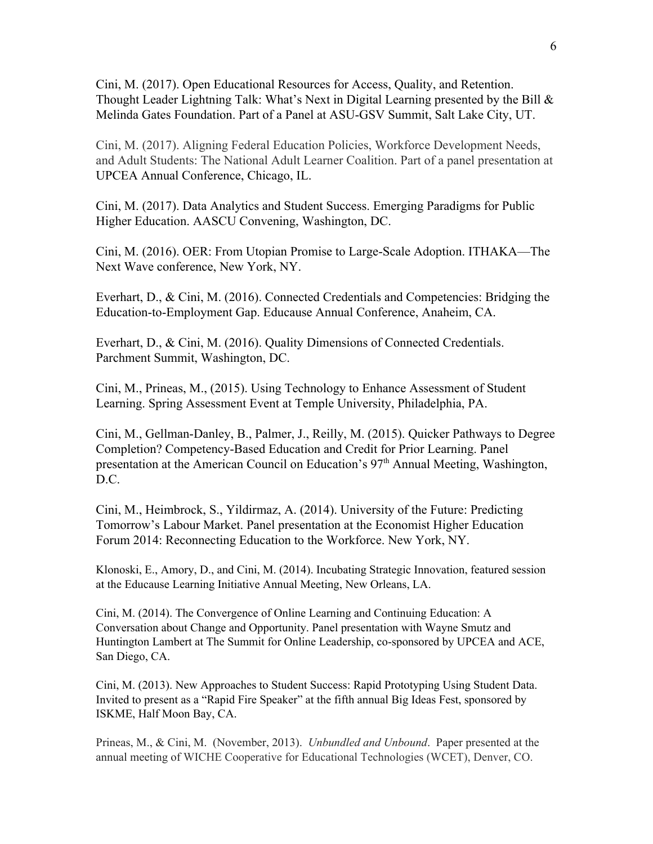Cini, M. (2017). Open Educational Resources for Access, Quality, and Retention. Thought Leader Lightning Talk: What's Next in Digital Learning presented by the Bill & Melinda Gates Foundation. Part of a Panel at ASU-GSV Summit, Salt Lake City, UT.

Cini, M. (2017). Aligning Federal Education Policies, Workforce Development Needs, and Adult Students: The National Adult Learner Coalition. Part of a panel presentation at UPCEA Annual Conference, Chicago, IL.

Cini, M. (2017). Data Analytics and Student Success. Emerging Paradigms for Public Higher Education. AASCU Convening, Washington, DC.

Cini, M. (2016). OER: From Utopian Promise to Large-Scale Adoption. ITHAKA—The Next Wave conference, New York, NY.

Everhart, D., & Cini, M. (2016). Connected Credentials and Competencies: Bridging the Education-to-Employment Gap. Educause Annual Conference, Anaheim, CA.

Everhart, D., & Cini, M. (2016). Quality Dimensions of Connected Credentials. Parchment Summit, Washington, DC.

Cini, M., Prineas, M., (2015). Using Technology to Enhance Assessment of Student Learning. Spring Assessment Event at Temple University, Philadelphia, PA.

Cini, M., Gellman-Danley, B., Palmer, J., Reilly, M. (2015). Quicker Pathways to Degree Completion? Competency-Based Education and Credit for Prior Learning. Panel presentation at the American Council on Education's 97<sup>th</sup> Annual Meeting, Washington, D.C.

Cini, M., Heimbrock, S., Yildirmaz, A. (2014). University of the Future: Predicting Tomorrow's Labour Market. Panel presentation at the Economist Higher Education Forum 2014: Reconnecting Education to the Workforce. New York, NY.

Klonoski, E., Amory, D., and Cini, M. (2014). Incubating Strategic Innovation, featured session at the Educause Learning Initiative Annual Meeting, New Orleans, LA.

Cini, M. (2014). The Convergence of Online Learning and Continuing Education: A Conversation about Change and Opportunity. Panel presentation with Wayne Smutz and Huntington Lambert at The Summit for Online Leadership, co-sponsored by UPCEA and ACE, San Diego, CA.

Cini, M. (2013). New Approaches to Student Success: Rapid Prototyping Using Student Data. Invited to present as a "Rapid Fire Speaker" at the fifth annual Big Ideas Fest, sponsored by ISKME, Half Moon Bay, CA.

Prineas, M., & Cini, M. (November, 2013). *Unbundled and Unbound*. Paper presented at the annual meeting of WICHE Cooperative for Educational Technologies (WCET), Denver, CO.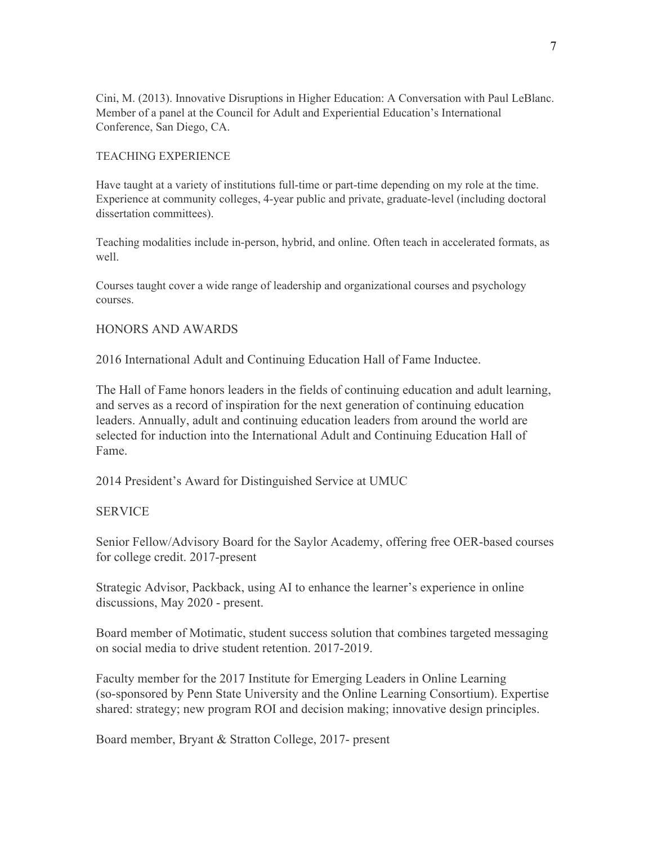Cini, M. (2013). Innovative Disruptions in Higher Education: A Conversation with Paul LeBlanc. Member of a panel at the Council for Adult and Experiential Education's International Conference, San Diego, CA.

#### TEACHING EXPERIENCE

Have taught at a variety of institutions full-time or part-time depending on my role at the time. Experience at community colleges, 4-year public and private, graduate-level (including doctoral dissertation committees).

Teaching modalities include in-person, hybrid, and online. Often teach in accelerated formats, as well.

Courses taught cover a wide range of leadership and organizational courses and psychology courses.

## HONORS AND AWARDS

2016 International Adult and Continuing Education Hall of Fame Inductee.

The Hall of Fame honors leaders in the fields of continuing education and adult learning, and serves as a record of inspiration for the next generation of continuing education leaders. Annually, adult and continuing education leaders from around the world are selected for induction into the International Adult and Continuing Education Hall of Fame.

2014 President's Award for Distinguished Service at UMUC

## SERVICE

Senior Fellow/Advisory Board for the Saylor Academy, offering free OER-based courses for college credit. 2017-present

Strategic Advisor, Packback, using AI to enhance the learner's experience in online discussions, May 2020 - present.

Board member of Motimatic, student success solution that combines targeted messaging on social media to drive student retention. 2017-2019.

Faculty member for the 2017 Institute for Emerging Leaders in Online Learning (so-sponsored by Penn State University and the Online Learning Consortium). Expertise shared: strategy; new program ROI and decision making; innovative design principles.

Board member, Bryant & Stratton College, 2017- present